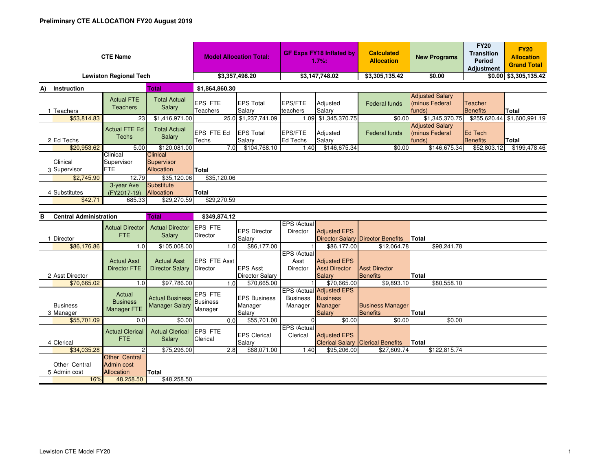| <b>CTE Name</b>                   |                          |                                       |                                             | <b>Model Allocation Total:</b> |                            | <b>GF Exps FY18 Inflated by</b><br>1.7%: |                     | <b>Calculated</b><br><b>Allocation</b> | <b>New Programs</b>                               | <b>FY20</b><br><b>Transition</b><br>Period<br>Adjustment | <b>FY20</b><br><b>Allocation</b><br><b>Grand Total</b> |
|-----------------------------------|--------------------------|---------------------------------------|---------------------------------------------|--------------------------------|----------------------------|------------------------------------------|---------------------|----------------------------------------|---------------------------------------------------|----------------------------------------------------------|--------------------------------------------------------|
| <b>Lewiston Regional Tech</b>     |                          |                                       |                                             | \$3,357,498.20                 |                            | \$3,147,748.02                           |                     | \$3,305,135.42                         | \$0.00                                            |                                                          | \$0.00 \$3,305,135.42                                  |
| <b>Total</b><br>Instruction<br>A) |                          |                                       | \$1,864,860.30                              |                                |                            |                                          |                     |                                        |                                                   |                                                          |                                                        |
|                                   | Teachers                 | <b>Actual FTE</b><br><b>Teachers</b>  | <b>Total Actual</b><br>Salary               | <b>IEPS FTE</b><br>Teachers    | <b>EPS Total</b><br>Salary | <b>EPS/FTE</b><br>teachers               | Adjusted<br>Salary  | Federal funds                          | <b>Adjusted Salary</b><br>minus Federal<br>funds) | Teacher<br>Benefits                                      | Total                                                  |
|                                   | \$53,814.83              | 23                                    | \$1,416,971.00                              |                                | 25.0 \$1,237,741.09        |                                          | 1.09 \$1,345,370.75 | \$0.00                                 | \$1,345,370.75                                    | \$255,620.44                                             | \$1,600,991.19                                         |
| 2 Ed Techs                        |                          | <b>Actual FTE Ed</b><br>Techs         | <b>Total Actual</b><br>Salary               | EPS FTE Ed<br>Techs            | <b>EPS Total</b><br>Salary | <b>EPS/FTE</b><br>Ed Techs               | Adjusted<br>Salary  | Federal funds                          | <b>Adjusted Salary</b><br>minus Federal<br>funds) | Ed Tech<br>Benefits                                      | Total                                                  |
|                                   | \$20,953.62              | 5.00                                  | \$120,081.00                                | 7.0                            | \$104,768.10               | 1.40                                     | \$146,675.34        | \$0.00                                 | \$146,675.34                                      | \$52,803.12                                              | \$199,478.46                                           |
|                                   | Clinical<br>3 Supervisor | Clinical<br>Supervisor<br><b>IFTE</b> | <b>Clinical</b><br>Supervisor<br>Allocation | <b>Total</b>                   |                            |                                          |                     |                                        |                                                   |                                                          |                                                        |
|                                   | \$2,745.90               | 12.79                                 | \$35,120.06                                 | \$35,120.06                    |                            |                                          |                     |                                        |                                                   |                                                          |                                                        |
|                                   | 4 Substitutes<br>\$42.71 | 3-year Ave<br>(FY2017-19)<br>685.33   | Substitute<br>Allocation<br>\$29,270.59     | Total<br>\$29,270.59           |                            |                                          |                     |                                        |                                                   |                                                          |                                                        |

| <b>Central Administration</b><br>в |                                           | Total                            | \$349,874.12                |                               |                                |                                             |                                          |              |  |
|------------------------------------|-------------------------------------------|----------------------------------|-----------------------------|-------------------------------|--------------------------------|---------------------------------------------|------------------------------------------|--------------|--|
|                                    | <b>Actual Director</b><br>FTE.            | <b>Actual Director</b><br>Salary | <b>EPS FTE</b><br>Director  | <b>EPS Director</b>           | EPS /Actual<br><b>Director</b> | <b>Adjusted EPS</b>                         |                                          |              |  |
| Director                           |                                           |                                  |                             | Salary                        |                                |                                             | <b>Director Salary Director Benefits</b> | Total        |  |
| \$86,176.86                        | 1.0                                       | \$105,008.00                     |                             | \$86,177.00<br>1.0            |                                | \$86,177.00                                 | \$12,064.78                              | \$98,241.78  |  |
|                                    |                                           |                                  |                             |                               | EPS /Actual                    |                                             |                                          |              |  |
|                                    | <b>Actual Asst</b>                        | <b>Actual Asst</b>               | <b>EPS FTE Asst</b>         |                               | Asst                           | <b>Adjusted EPS</b>                         |                                          |              |  |
|                                    | Director FTE                              | <b>Director Salary</b>           | Director                    | <b>EPS Asst</b>               | <b>Director</b>                | <b>Asst Director</b>                        | <b>Asst Director</b>                     |              |  |
| 2 Asst Director                    |                                           |                                  |                             | <b>Director Salary</b>        |                                | <b>Salary</b>                               | Benefits                                 | Total        |  |
| \$70,665.02                        | 1.0                                       | \$97,786.00                      |                             | \$70,665.00<br>1.0            |                                | \$70,665.00                                 | \$9,893.10                               | \$80,558.10  |  |
|                                    | Actual<br><b>Business</b>                 | <b>Actual Business</b> Business  | <b>IEPS FTE</b>             | <b>EPS Business</b>           | <b>Business</b>                | EPS /Actual Adjusted EPS<br><b>Business</b> |                                          |              |  |
| <b>Business</b>                    | Manager FTE                               | <b>Manager Salary</b>            | Manager                     | Manager                       | Manager                        | Manager                                     | <b>Business Manager</b>                  |              |  |
| 3 Manager                          |                                           |                                  |                             | Salary                        |                                | <b>Salary</b>                               | <b>Benefits</b>                          | <b>Total</b> |  |
| \$55,701.09                        | 0.0                                       | \$0.00                           |                             | \$55,701.00<br>0.0            |                                | \$0.00                                      | \$0.00                                   | \$0.00       |  |
| 4 Clerical                         | <b>Actual Clerical</b><br><b>FTE</b>      | <b>Actual Clerical</b><br>Salary | <b>IEPS FTE</b><br>Clerical | <b>EPS Clerical</b><br>Salary | EPS /Actual<br>Clerical        | <b>Adjusted EPS</b>                         | <b>Clerical Salary Clerical Benefits</b> | Total        |  |
| \$34,035.28                        |                                           | \$75,296.00                      |                             | \$68,071.00<br>2.8            | 1.40                           | \$95,206.00                                 | \$27,609.74                              | \$122,815.74 |  |
| Other Central<br>5 Admin cost      | Other Central<br>Admin cost<br>Allocation | Total                            |                             |                               |                                |                                             |                                          |              |  |
| 16%                                | 48,258.50                                 | \$48,258.50                      |                             |                               |                                |                                             |                                          |              |  |